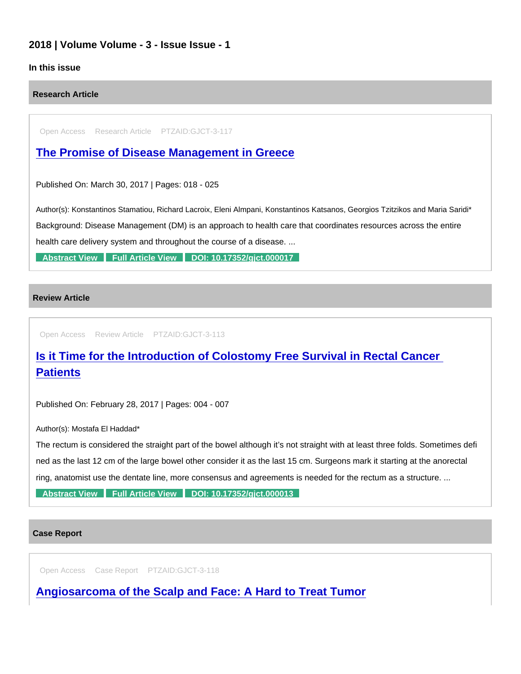### 2018 | Volume Volume - 3 - Issue Issue - 1

### In this issue

Research Article

Open Access Research Article PTZAID:GJCT-3-117

[The Promise of Disease Management in Greece](https://www.peertechzpublications.com/articles/the-promise-of-disease-management-in-greece)

Published On: March 30, 2017 | Pages: 018 - 025

Author(s): Konstantinos Stamatiou, Richard Lacroix, Eleni Almpani, Konstantinos Katsanos, Georgios Tzitzikos and Maria Saridi\* Background: Disease Management (DM) is an approach to health care that coordinates resources across the entire health care delivery system and throughout the course of a disease. ...

[Abstract View](https://www.peertechzpublications.com/abstracts/the-promise-of-disease-management-in-greece) [Full Article View](https://www.peertechzpublications.com/articles/the-promise-of-disease-management-in-greece) [DOI: 10.17352/gjct.000017](http://dx.doi.org/10.17352/gjct.000017)

### Review Article

Open Access Review Article PTZAID:GJCT-3-113

[Is it Time for the Introduction of Colostomy Free Survival in Rectal Cancer](https://www.peertechzpublications.com/articles/is-it-time-for-the-introduction-of-colostomy-free-survival-in-rectal-cancer-patients)  **Patients** 

Published On: February 28, 2017 | Pages: 004 - 007

Author(s): Mostafa El Haddad\*

The rectum is considered the straight part of the bowel although it's not straight with at least three folds. Sometimes defi ned as the last 12 cm of the large bowel other consider it as the last 15 cm. Surgeons mark it starting at the anorectal ring, anatomist use the dentate line, more consensus and agreements is needed for the rectum as a structure. ...

[Abstract View](https://www.peertechzpublications.com/abstracts/is-it-time-for-the-introduction-of-colostomy-free-survival-in-rectal-cancer-patients) [Full Article View](https://www.peertechzpublications.com/articles/is-it-time-for-the-introduction-of-colostomy-free-survival-in-rectal-cancer-patients) [DOI: 10.17352/gjct.000013](http://dx.doi.org/10.17352/gjct.000013)

#### Case Report

Open Access Case Report PTZAID:GJCT-3-118

[Angiosarcoma of the Scalp and Face: A Hard to Treat Tumor](https://www.peertechzpublications.com/articles/angiosarcoma-of-the-scalp-and-face-a-hard-to-treat-tumor)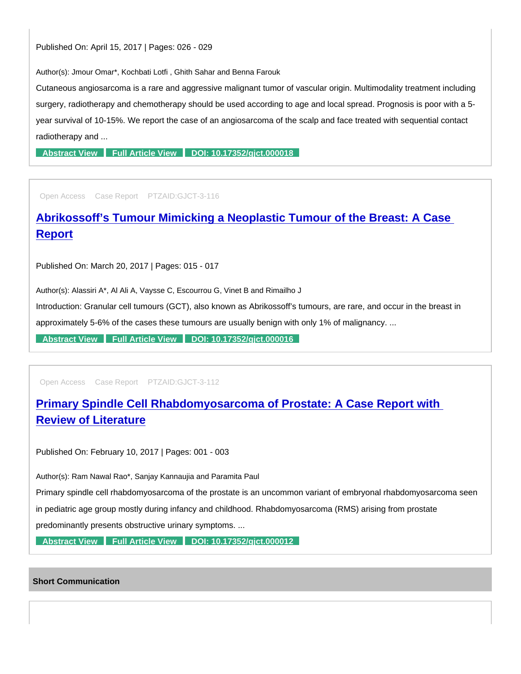Author(s): Jmour Omar\*, Kochbati Lotfi , Ghith Sahar and Benna Farouk

Cutaneous angiosarcoma is a rare and aggressive malignant tumor of vascular origin. Multimodality treatment including surgery, radiotherapy and chemotherapy should be used according to age and local spread. Prognosis is poor with a 5 year survival of 10-15%. We report the case of an angiosarcoma of the scalp and face treated with sequential contact radiotherapy and ...

[Abstract View](https://www.peertechzpublications.com/abstracts/angiosarcoma-of-the-scalp-and-face-a-hard-to-treat-tumor) [Full Article View](https://www.peertechzpublications.com/articles/angiosarcoma-of-the-scalp-and-face-a-hard-to-treat-tumor) DOI: 10.17352/gict.000018

Open Access Case Report PTZAID:GJCT-3-116

[Abrikossoff's Tumour Mimicking a Neoplastic Tumour of the Breast: A Case](https://www.peertechzpublications.com/articles/abrikossoff-s-tumour-mimicking-a-neoplastic-tumour-of-the-breast-a-case-report)  Report

Published On: March 20, 2017 | Pages: 015 - 017

Author(s): Alassiri A\*, Al Ali A, Vaysse C, Escourrou G, Vinet B and Rimailho J

Introduction: Granular cell tumours (GCT), also known as Abrikossoff's tumours, are rare, and occur in the breast in

approximately 5-6% of the cases these tumours are usually benign with only 1% of malignancy. ...

[Abstract View](https://www.peertechzpublications.com/abstracts/abrikossoff-s-tumour-mimicking-a-neoplastic-tumour-of-the-breast-a-case-report) [Full Article View](https://www.peertechzpublications.com/articles/abrikossoff-s-tumour-mimicking-a-neoplastic-tumour-of-the-breast-a-case-report) DOI: 10.17352/gict.000016

Open Access Case Report PTZAID:GJCT-3-112

[Primary Spindle Cell Rhabdomyosarcoma of Prostate: A Case Report with](https://www.peertechzpublications.com/articles/primary-spindle-cell-rhabdomyosarcoma-of-prostate-a-case-report-with-review-of-literature)  Review of Literature

Published On: February 10, 2017 | Pages: 001 - 003

Author(s): Ram Nawal Rao\*, Sanjay Kannaujia and Paramita Paul

Primary spindle cell rhabdomyosarcoma of the prostate is an uncommon variant of embryonal rhabdomyosarcoma seen in pediatric age group mostly during infancy and childhood. Rhabdomyosarcoma (RMS) arising from prostate predominantly presents obstructive urinary symptoms. ...

[Abstract View](https://www.peertechzpublications.com/abstracts/primary-spindle-cell-rhabdomyosarcoma-of-prostate-a-case-report-with-review-of-literature) [Full Article View](https://www.peertechzpublications.com/articles/primary-spindle-cell-rhabdomyosarcoma-of-prostate-a-case-report-with-review-of-literature) DOI: 10.17352/gict.000012

Short Communication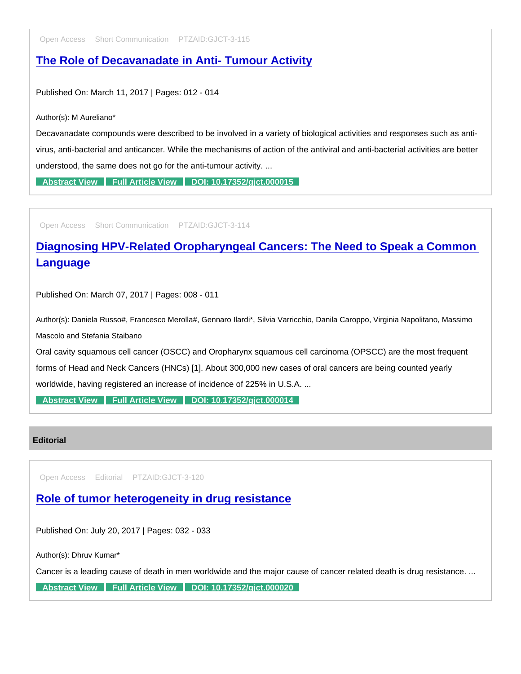Open Access Short Communication PTZAID:GJCT-3-115

## [The Role of Decavanadate in Anti- Tumour Activity](https://www.peertechzpublications.com/articles/the-role-of-decavanadate-in-anti-tumour-activity)

Published On: March 11, 2017 | Pages: 012 - 014

Author(s): M Aureliano\*

Decavanadate compounds were described to be involved in a variety of biological activities and responses such as antivirus, anti-bacterial and anticancer. While the mechanisms of action of the antiviral and anti-bacterial activities are better understood, the same does not go for the anti-tumour activity. ...

[Abstract View](https://www.peertechzpublications.com/abstracts/the-role-of-decavanadate-in-anti-tumour-activity) [Full Article View](https://www.peertechzpublications.com/articles/the-role-of-decavanadate-in-anti-tumour-activity) DOI: 10.17352/gict.000015

Open Access Short Communication PTZAID:GJCT-3-114

# [Diagnosing HPV-Related Oropharyngeal Cancers: The Need to Speak a Common](https://www.peertechzpublications.com/articles/diagnosing-hpv-related-oropharyngeal-cancers-the-need-to-speak-a-common-language)  Language

Published On: March 07, 2017 | Pages: 008 - 011

Author(s): Daniela Russo#, Francesco Merolla#, Gennaro Ilardi\*, Silvia Varricchio, Danila Caroppo, Virginia Napolitano, Massimo Mascolo and Stefania Staibano

Oral cavity squamous cell cancer (OSCC) and Oropharynx squamous cell carcinoma (OPSCC) are the most frequent forms of Head and Neck Cancers (HNCs) [1]. About 300,000 new cases of oral cancers are being counted yearly worldwide, having registered an increase of incidence of 225% in U.S.A. ...

[Abstract View](https://www.peertechzpublications.com/abstracts/diagnosing-hpv-related-oropharyngeal-cancers-the-need-to-speak-a-common-language) [Full Article View](https://www.peertechzpublications.com/articles/diagnosing-hpv-related-oropharyngeal-cancers-the-need-to-speak-a-common-language) [DOI: 10.17352/gjct.000014](http://dx.doi.org/10.17352/gjct.000014)

### **Editorial**

Open Access Editorial PTZAID:GJCT-3-120

[Role of tumor heterogeneity in drug resistance](https://www.peertechzpublications.com/articles/role-of-tumor-heterogeneity-in-drug-resistance)

Published On: July 20, 2017 | Pages: 032 - 033

Author(s): Dhruv Kumar\*

Cancer is a leading cause of death in men worldwide and the major cause of cancer related death is drug resistance. ...

[Abstract View](https://www.peertechzpublications.com/abstracts/role-of-tumor-heterogeneity-in-drug-resistance) [Full Article View](https://www.peertechzpublications.com/articles/role-of-tumor-heterogeneity-in-drug-resistance) [DOI: 10.17352/gjct.000020](http://dx.doi.org/10.17352/gjct.000020)